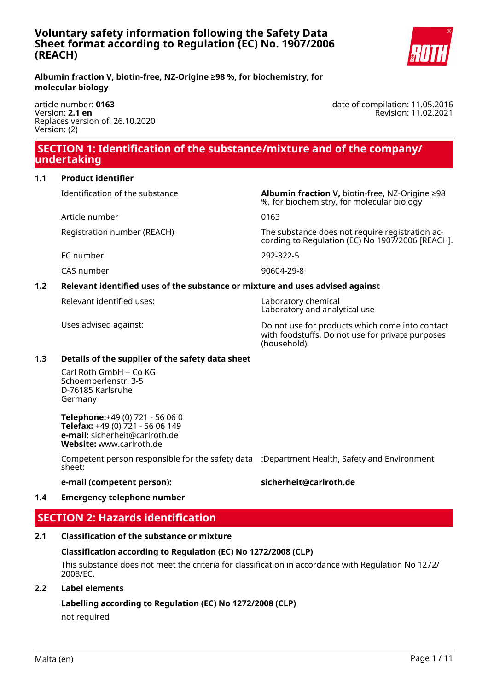

date of compilation: 11.05.2016

Revision: 11.02.2021

**Albumin fraction V, biotin-free, NZ-Origine ≥98 %, for biochemistry, for molecular biology**

article number: **0163** Version: **2.1 en** Replaces version of: 26.10.2020 Version: (2)

 **SECTION 1: Identification of the substance/mixture and of the company/ undertaking**

**1.1 Product identifier**

Article number 0163

EC number 292-322-5

CAS number 90604-29-8

#### **1.2 Relevant identified uses of the substance or mixture and uses advised against**

Relevant identified uses: Laboratory chemical

Identification of the substance **Albumin fraction V,** biotin-free, NZ-Origine ≥98 %, for biochemistry, for molecular biology

Registration number (REACH) The substance does not require registration according to Regulation (EC) No 1907/2006 [REACH].

Laboratory and analytical use

Uses advised against: Do not use for products which come into contact with foodstuffs. Do not use for private purposes (household).

# **1.3 Details of the supplier of the safety data sheet**

Carl Roth GmbH + Co KG Schoemperlenstr. 3-5 D-76185 Karlsruhe Germany

**Telephone:**+49 (0) 721 - 56 06 0 **Telefax:** +49 (0) 721 - 56 06 149 **e-mail:** sicherheit@carlroth.de **Website:** www.carlroth.de

Competent person responsible for the safety data :Department Health, Safety and Environment sheet:

## **e-mail (competent person): sicherheit@carlroth.de**

# **1.4 Emergency telephone number**

# **SECTION 2: Hazards identification**

# **2.1 Classification of the substance or mixture**

# **Classification according to Regulation (EC) No 1272/2008 (CLP)**

This substance does not meet the criteria for classification in accordance with Regulation No 1272/ 2008/EC.

# **2.2 Label elements**

# **Labelling according to Regulation (EC) No 1272/2008 (CLP)**

not required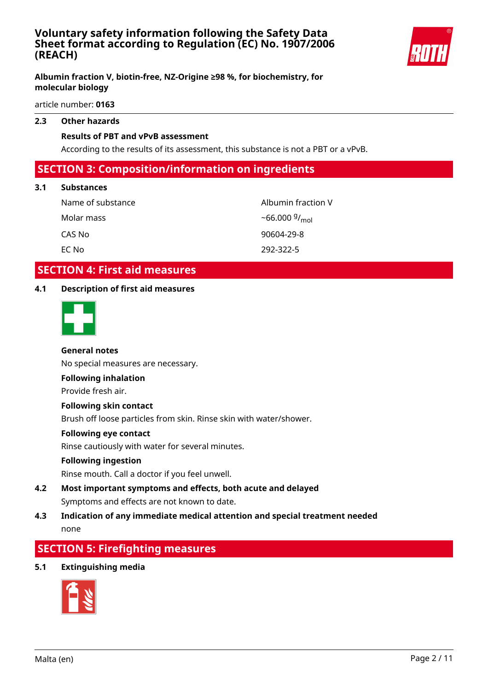

## **Albumin fraction V, biotin-free, NZ-Origine ≥98 %, for biochemistry, for molecular biology**

article number: **0163**

#### **2.3 Other hazards**

## **Results of PBT and vPvB assessment**

According to the results of its assessment, this substance is not a PBT or a vPvB.

## **SECTION 3: Composition/information on ingredients**

#### **3.1 Substances**

Name of substance Albumin fraction V Molar mass CAS No 90604-29-8 EC No 292-322-5

 $-66.000\frac{g}{mol}$ 

# **SECTION 4: First aid measures**

#### **4.1 Description of first aid measures**



## **General notes**

No special measures are necessary.

#### **Following inhalation**

Provide fresh air.

#### **Following skin contact**

Brush off loose particles from skin. Rinse skin with water/shower.

#### **Following eye contact**

Rinse cautiously with water for several minutes.

#### **Following ingestion**

Rinse mouth. Call a doctor if you feel unwell.

**4.2 Most important symptoms and effects, both acute and delayed** Symptoms and effects are not known to date.

## **4.3 Indication of any immediate medical attention and special treatment needed** none

# **SECTION 5: Firefighting measures**

#### **5.1 Extinguishing media**

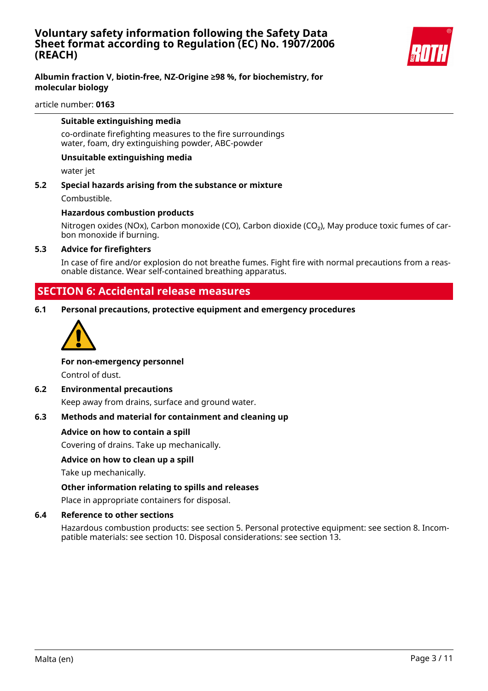

## **Albumin fraction V, biotin-free, NZ-Origine ≥98 %, for biochemistry, for molecular biology**

#### article number: **0163**

#### **Suitable extinguishing media**

co-ordinate firefighting measures to the fire surroundings water, foam, dry extinguishing powder, ABC-powder

#### **Unsuitable extinguishing media**

water jet

**5.2 Special hazards arising from the substance or mixture** Combustible.

#### **Hazardous combustion products**

Nitrogen oxides (NOx), Carbon monoxide (CO), Carbon dioxide (CO<sub>2</sub>), May produce toxic fumes of carbon monoxide if burning.

#### **5.3 Advice for firefighters**

In case of fire and/or explosion do not breathe fumes. Fight fire with normal precautions from a reasonable distance. Wear self-contained breathing apparatus.

## **SECTION 6: Accidental release measures**

**6.1 Personal precautions, protective equipment and emergency procedures**



#### **For non-emergency personnel**

Control of dust.

#### **6.2 Environmental precautions**

Keep away from drains, surface and ground water.

#### **6.3 Methods and material for containment and cleaning up**

#### **Advice on how to contain a spill**

Covering of drains. Take up mechanically.

#### **Advice on how to clean up a spill**

Take up mechanically.

#### **Other information relating to spills and releases**

Place in appropriate containers for disposal.

#### **6.4 Reference to other sections**

Hazardous combustion products: see section 5. Personal protective equipment: see section 8. Incompatible materials: see section 10. Disposal considerations: see section 13.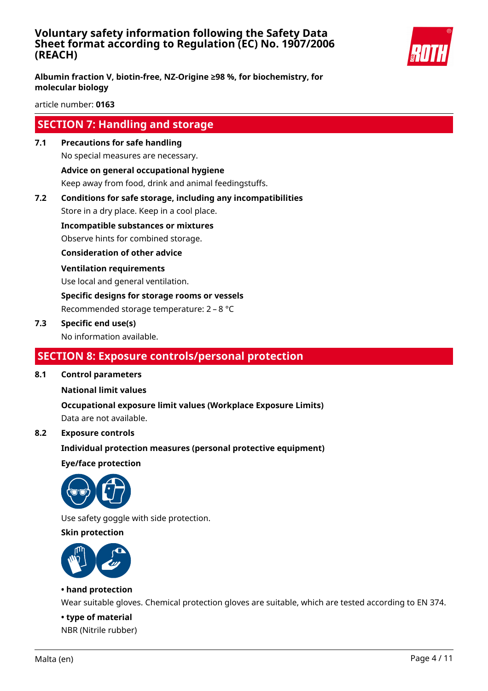

**Albumin fraction V, biotin-free, NZ-Origine ≥98 %, for biochemistry, for molecular biology**

article number: **0163**

# **SECTION 7: Handling and storage**

**7.1 Precautions for safe handling**

No special measures are necessary.

**Advice on general occupational hygiene**

Keep away from food, drink and animal feedingstuffs.

**7.2 Conditions for safe storage, including any incompatibilities**

Store in a dry place. Keep in a cool place.

**Incompatible substances or mixtures**

Observe hints for combined storage.

**Consideration of other advice**

#### **Ventilation requirements**

Use local and general ventilation.

**Specific designs for storage rooms or vessels**

Recommended storage temperature: 2 – 8 °C

## **7.3 Specific end use(s)**

No information available.

# **SECTION 8: Exposure controls/personal protection**

**8.1 Control parameters**

## **National limit values**

**Occupational exposure limit values (Workplace Exposure Limits)** Data are not available.

## **8.2 Exposure controls**

**Individual protection measures (personal protective equipment)**

**Eye/face protection**



Use safety goggle with side protection.

#### **Skin protection**



## **• hand protection**

Wear suitable gloves. Chemical protection gloves are suitable, which are tested according to EN 374.

**• type of material** NBR (Nitrile rubber)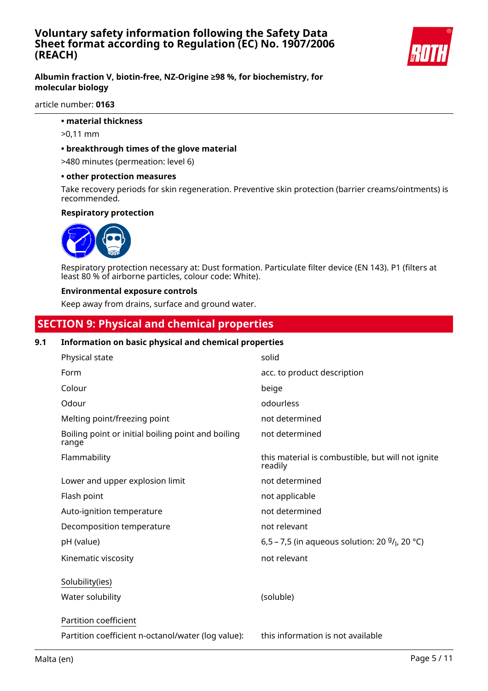

## **Albumin fraction V, biotin-free, NZ-Origine ≥98 %, for biochemistry, for molecular biology**

#### article number: **0163**

- **material thickness**
- >0,11 mm

#### **• breakthrough times of the glove material**

>480 minutes (permeation: level 6)

#### **• other protection measures**

Take recovery periods for skin regeneration. Preventive skin protection (barrier creams/ointments) is recommended.

#### **Respiratory protection**



Respiratory protection necessary at: Dust formation. Particulate filter device (EN 143). P1 (filters at least 80 % of airborne particles, colour code: White).

#### **Environmental exposure controls**

Keep away from drains, surface and ground water.

# **SECTION 9: Physical and chemical properties**

## **9.1 Information on basic physical and chemical properties**

| Physical state                                              | solid                                                        |
|-------------------------------------------------------------|--------------------------------------------------------------|
| Form                                                        | acc. to product description                                  |
| Colour                                                      | beige                                                        |
| Odour                                                       | odourless                                                    |
| Melting point/freezing point                                | not determined                                               |
| Boiling point or initial boiling point and boiling<br>range | not determined                                               |
| Flammability                                                | this material is combustible, but will not ignite<br>readily |
| Lower and upper explosion limit                             | not determined                                               |
| Flash point                                                 | not applicable                                               |
| Auto-ignition temperature                                   | not determined                                               |
| Decomposition temperature                                   | not relevant                                                 |
| pH (value)                                                  | 6,5 – 7,5 (in aqueous solution: 20 $9/1$ , 20 °C)            |
| Kinematic viscosity                                         | not relevant                                                 |
| Solubility(ies)                                             |                                                              |
| Water solubility                                            | (soluble)                                                    |
| Partition coefficient                                       |                                                              |
| Partition coefficient n-octanol/water (log value):          | this information is not available                            |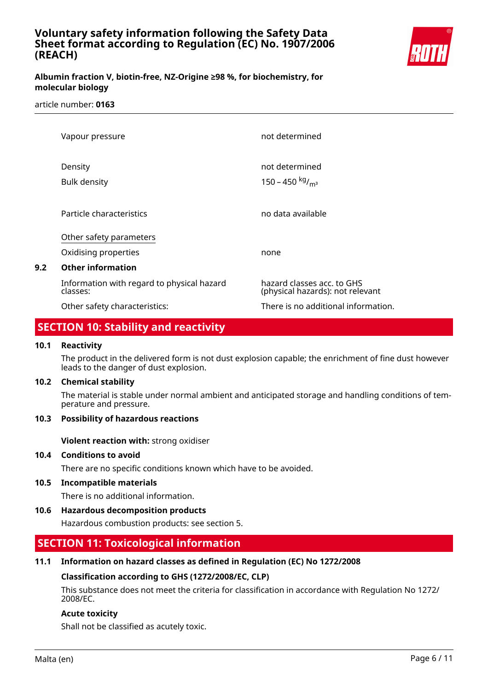

## **Albumin fraction V, biotin-free, NZ-Origine ≥98 %, for biochemistry, for molecular biology**

#### article number: **0163**

|     | Vapour pressure                                        | not determined                                                 |
|-----|--------------------------------------------------------|----------------------------------------------------------------|
|     | Density<br><b>Bulk density</b>                         | not determined<br>150 – 450 kg/ <sub>m<sup>3</sup></sub>       |
|     | Particle characteristics                               | no data available                                              |
|     | Other safety parameters                                |                                                                |
|     | Oxidising properties                                   | none                                                           |
| 9.2 | <b>Other information</b>                               |                                                                |
|     | Information with regard to physical hazard<br>classes: | hazard classes acc. to GHS<br>(physical hazards): not relevant |
|     | Other safety characteristics:                          | There is no additional information.                            |

# **SECTION 10: Stability and reactivity**

#### **10.1 Reactivity**

The product in the delivered form is not dust explosion capable; the enrichment of fine dust however leads to the danger of dust explosion.

#### **10.2 Chemical stability**

The material is stable under normal ambient and anticipated storage and handling conditions of temperature and pressure.

#### **10.3 Possibility of hazardous reactions**

**Violent reaction with:** strong oxidiser

#### **10.4 Conditions to avoid**

There are no specific conditions known which have to be avoided.

#### **10.5 Incompatible materials**

There is no additional information.

#### **10.6 Hazardous decomposition products**

Hazardous combustion products: see section 5.

# **SECTION 11: Toxicological information**

#### **11.1 Information on hazard classes as defined in Regulation (EC) No 1272/2008**

#### **Classification according to GHS (1272/2008/EC, CLP)**

This substance does not meet the criteria for classification in accordance with Regulation No 1272/ 2008/EC.

#### **Acute toxicity**

Shall not be classified as acutely toxic.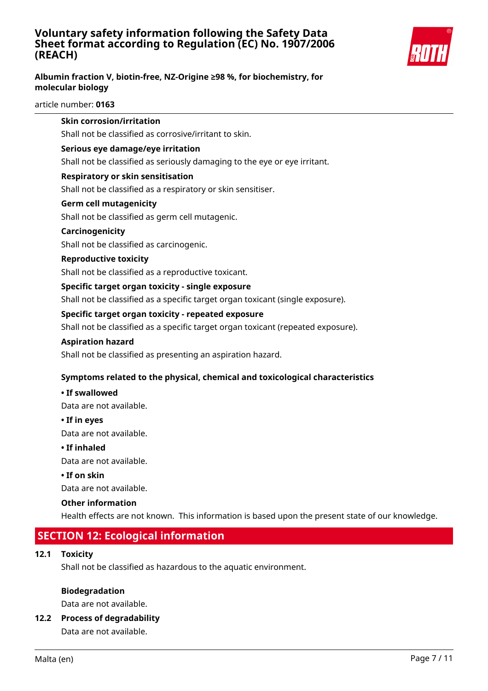

## **Albumin fraction V, biotin-free, NZ-Origine ≥98 %, for biochemistry, for molecular biology**

#### article number: **0163**

|      | <b>Skin corrosion/irritation</b>                                                                 |
|------|--------------------------------------------------------------------------------------------------|
|      | Shall not be classified as corrosive/irritant to skin.                                           |
|      | Serious eye damage/eye irritation                                                                |
|      | Shall not be classified as seriously damaging to the eye or eye irritant.                        |
|      | <b>Respiratory or skin sensitisation</b>                                                         |
|      | Shall not be classified as a respiratory or skin sensitiser.                                     |
|      | <b>Germ cell mutagenicity</b>                                                                    |
|      | Shall not be classified as germ cell mutagenic.                                                  |
|      | Carcinogenicity                                                                                  |
|      | Shall not be classified as carcinogenic.                                                         |
|      | <b>Reproductive toxicity</b>                                                                     |
|      | Shall not be classified as a reproductive toxicant.                                              |
|      | Specific target organ toxicity - single exposure                                                 |
|      | Shall not be classified as a specific target organ toxicant (single exposure).                   |
|      | Specific target organ toxicity - repeated exposure                                               |
|      | Shall not be classified as a specific target organ toxicant (repeated exposure).                 |
|      | <b>Aspiration hazard</b>                                                                         |
|      | Shall not be classified as presenting an aspiration hazard.                                      |
|      | Symptoms related to the physical, chemical and toxicological characteristics                     |
|      | • If swallowed                                                                                   |
|      | Data are not available.                                                                          |
|      | • If in eyes                                                                                     |
|      | Data are not available.                                                                          |
|      | • If inhaled                                                                                     |
|      | Data are not available.                                                                          |
|      | $\cdot$ If on skin                                                                               |
|      | Data are not available.                                                                          |
|      | <b>Other information</b>                                                                         |
|      | Health effects are not known. This information is based upon the present state of our knowledge. |
|      | <b>SECTION 12: Ecological information</b>                                                        |
| 12.1 | <b>Toxicity</b>                                                                                  |
|      | Shall not be classified as hazardous to the aquatic environment.                                 |

#### **Biodegradation**

Data are not available.

## **12.2 Process of degradability**

Data are not available.

**12.1 Toxicity**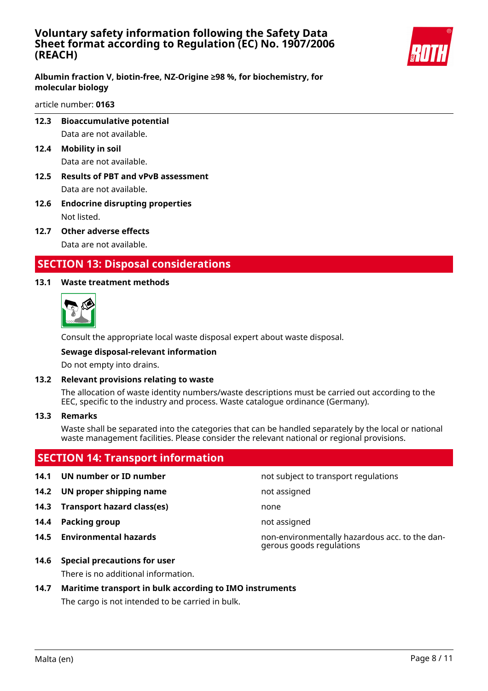

## **Albumin fraction V, biotin-free, NZ-Origine ≥98 %, for biochemistry, for molecular biology**

#### article number: **0163**

- **12.3 Bioaccumulative potential** Data are not available.
- **12.4 Mobility in soil** Data are not available.
- **12.5 Results of PBT and vPvB assessment** Data are not available.
- **12.6 Endocrine disrupting properties** Not listed.
- **12.7 Other adverse effects** Data are not available.

# **SECTION 13: Disposal considerations**

## **13.1 Waste treatment methods**



Consult the appropriate local waste disposal expert about waste disposal.

#### **Sewage disposal-relevant information**

Do not empty into drains.

#### **13.2 Relevant provisions relating to waste**

The allocation of waste identity numbers/waste descriptions must be carried out according to the EEC, specific to the industry and process. Waste catalogue ordinance (Germany).

#### **13.3 Remarks**

Waste shall be separated into the categories that can be handled separately by the local or national waste management facilities. Please consider the relevant national or regional provisions.

# **SECTION 14: Transport information**

#### **14.1 UN number or ID number not subject to transport regulations**

- **14.2 UN proper shipping name** not assigned
- **14.3 Transport hazard class(es)** none
- **14.4 Packing group not assigned**
- 

**14.5 Environmental hazards** non-environmentally hazardous acc. to the dangerous goods regulations

**14.6 Special precautions for user**

There is no additional information.

## **14.7 Maritime transport in bulk according to IMO instruments**

The cargo is not intended to be carried in bulk.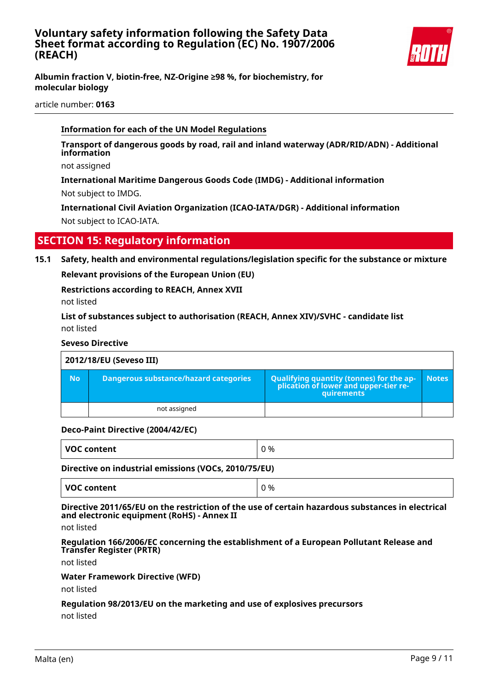

**Albumin fraction V, biotin-free, NZ-Origine ≥98 %, for biochemistry, for molecular biology**

article number: **0163**

## **Information for each of the UN Model Regulations**

**Transport of dangerous goods by road, rail and inland waterway (ADR/RID/ADN) - Additional information**

not assigned

**International Maritime Dangerous Goods Code (IMDG) - Additional information** Not subject to IMDG.

**International Civil Aviation Organization (ICAO-IATA/DGR) - Additional information** Not subject to ICAO-IATA.

# **SECTION 15: Regulatory information**

**15.1 Safety, health and environmental regulations/legislation specific for the substance or mixture**

**Relevant provisions of the European Union (EU)**

**Restrictions according to REACH, Annex XVII**

not listed

**List of substances subject to authorisation (REACH, Annex XIV)/SVHC - candidate list** not listed

#### **Seveso Directive**

| 2012/18/EU (Seveso III) |                                       |                                                                                                   |              |
|-------------------------|---------------------------------------|---------------------------------------------------------------------------------------------------|--------------|
| <b>No</b>               | Dangerous substance/hazard categories | Qualifying quantity (tonnes) for the ap-<br>  plication of lower and upper-tier re-<br>quirements | <b>Notes</b> |
|                         | not assigned                          |                                                                                                   |              |

#### **Deco-Paint Directive (2004/42/EC)**

| <b>VOC</b><br>%<br><b>Content</b><br>. . |  |
|------------------------------------------|--|
|------------------------------------------|--|

#### **Directive on industrial emissions (VOCs, 2010/75/EU)**

## **Directive 2011/65/EU on the restriction of the use of certain hazardous substances in electrical and electronic equipment (RoHS) - Annex II**

not listed

**Regulation 166/2006/EC concerning the establishment of a European Pollutant Release and Transfer Register (PRTR)**

not listed

#### **Water Framework Directive (WFD)**

not listed

# **Regulation 98/2013/EU on the marketing and use of explosives precursors**

not listed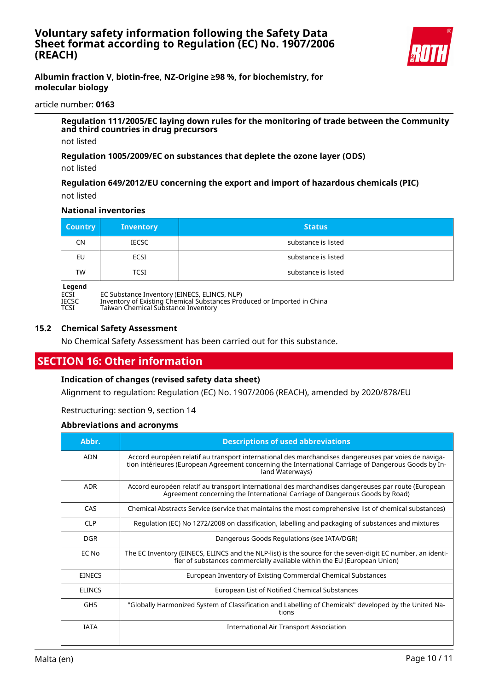

## **Albumin fraction V, biotin-free, NZ-Origine ≥98 %, for biochemistry, for molecular biology**

#### article number: **0163**

**Regulation 111/2005/EC laying down rules for the monitoring of trade between the Community and third countries in drug precursors**

not listed

**Regulation 1005/2009/EC on substances that deplete the ozone layer (ODS)**

not listed

**Regulation 649/2012/EU concerning the export and import of hazardous chemicals (PIC)** not listed

#### **National inventories**

| <b>Country</b> | <b>Inventory</b> | <b>Status</b>       |
|----------------|------------------|---------------------|
| <b>CN</b>      | <b>IECSC</b>     | substance is listed |
| EU             | ECSI             | substance is listed |
| <b>TW</b>      | <b>TCSI</b>      | substance is listed |

# **Legend**<br>ECSI<br>IECSC

ECSI EC Substance Inventory (EINECS, ELINCS, NLP)

IECSC Inventory of Existing Chemical Substances Produced or Imported in China

TCSI Taiwan Chemical Substance Inventory

#### **15.2 Chemical Safety Assessment**

No Chemical Safety Assessment has been carried out for this substance.

# **SECTION 16: Other information**

#### **Indication of changes (revised safety data sheet)**

Alignment to regulation: Regulation (EC) No. 1907/2006 (REACH), amended by 2020/878/EU

Restructuring: section 9, section 14

#### **Abbreviations and acronyms**

| Abbr.         | <b>Descriptions of used abbreviations</b>                                                                                                                                                                                       |
|---------------|---------------------------------------------------------------------------------------------------------------------------------------------------------------------------------------------------------------------------------|
| <b>ADN</b>    | Accord européen relatif au transport international des marchandises dangereuses par voies de naviga-<br>tion intérieures (European Agreement concerning the International Carriage of Dangerous Goods by In-<br>land Waterways) |
| <b>ADR</b>    | Accord européen relatif au transport international des marchandises dangereuses par route (European<br>Agreement concerning the International Carriage of Dangerous Goods by Road)                                              |
| CAS           | Chemical Abstracts Service (service that maintains the most comprehensive list of chemical substances)                                                                                                                          |
| <b>CLP</b>    | Regulation (EC) No 1272/2008 on classification, labelling and packaging of substances and mixtures                                                                                                                              |
| <b>DGR</b>    | Dangerous Goods Regulations (see IATA/DGR)                                                                                                                                                                                      |
| EC No         | The EC Inventory (EINECS, ELINCS and the NLP-list) is the source for the seven-digit EC number, an identi-<br>fier of substances commercially available within the EU (European Union)                                          |
| <b>EINECS</b> | European Inventory of Existing Commercial Chemical Substances                                                                                                                                                                   |
| <b>ELINCS</b> | European List of Notified Chemical Substances                                                                                                                                                                                   |
| <b>GHS</b>    | "Globally Harmonized System of Classification and Labelling of Chemicals" developed by the United Na-<br>tions                                                                                                                  |
| <b>TATA</b>   | International Air Transport Association                                                                                                                                                                                         |